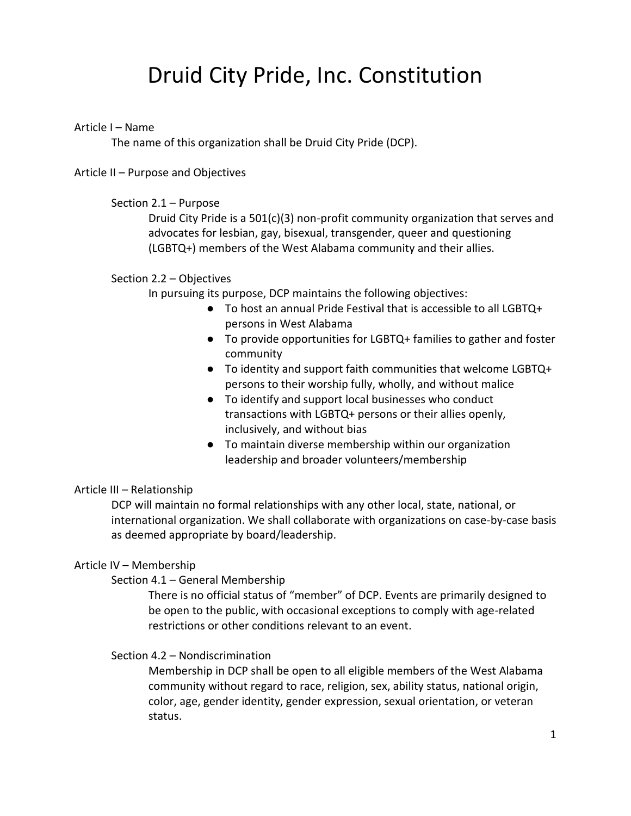# Druid City Pride, Inc. Constitution

# Article I – Name

The name of this organization shall be Druid City Pride (DCP).

## Article II – Purpose and Objectives

## Section 2.1 – Purpose

Druid City Pride is a  $501(c)(3)$  non-profit community organization that serves and advocates for lesbian, gay, bisexual, transgender, queer and questioning (LGBTQ+) members of the West Alabama community and their allies.

## Section 2.2 – Objectives

In pursuing its purpose, DCP maintains the following objectives:

- To host an annual Pride Festival that is accessible to all LGBTQ+ persons in West Alabama
- To provide opportunities for LGBTQ+ families to gather and foster community
- To identity and support faith communities that welcome LGBTQ+ persons to their worship fully, wholly, and without malice
- To identify and support local businesses who conduct transactions with LGBTQ+ persons or their allies openly, inclusively, and without bias
- To maintain diverse membership within our organization leadership and broader volunteers/membership

# Article III – Relationship

DCP will maintain no formal relationships with any other local, state, national, or international organization. We shall collaborate with organizations on case-by-case basis as deemed appropriate by board/leadership.

# Article IV – Membership

# Section 4.1 – General Membership

There is no official status of "member" of DCP. Events are primarily designed to be open to the public, with occasional exceptions to comply with age-related restrictions or other conditions relevant to an event.

# Section 4.2 – Nondiscrimination

Membership in DCP shall be open to all eligible members of the West Alabama community without regard to race, religion, sex, ability status, national origin, color, age, gender identity, gender expression, sexual orientation, or veteran status.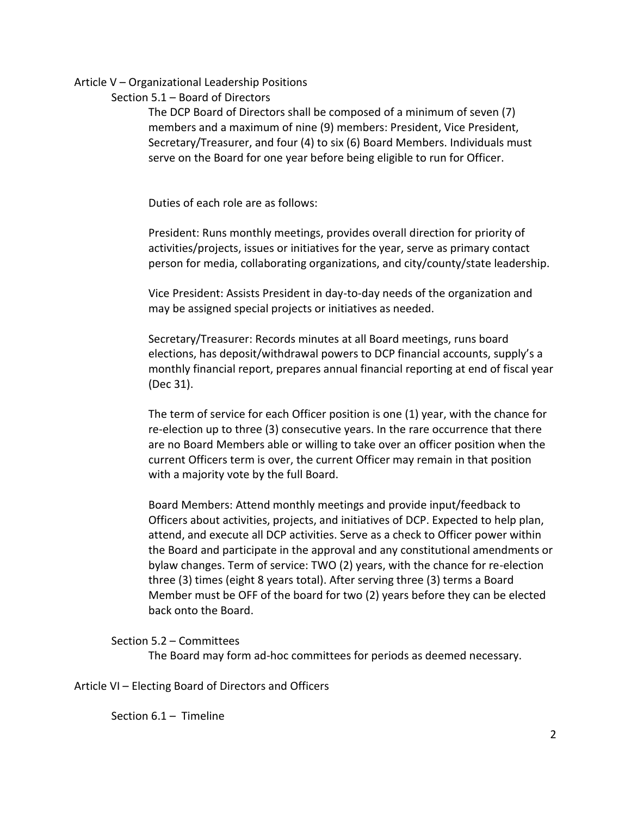## Article V – Organizational Leadership Positions

Section 5.1 – Board of Directors

The DCP Board of Directors shall be composed of a minimum of seven (7) members and a maximum of nine (9) members: President, Vice President, Secretary/Treasurer, and four (4) to six (6) Board Members. Individuals must serve on the Board for one year before being eligible to run for Officer.

Duties of each role are as follows:

President: Runs monthly meetings, provides overall direction for priority of activities/projects, issues or initiatives for the year, serve as primary contact person for media, collaborating organizations, and city/county/state leadership.

Vice President: Assists President in day-to-day needs of the organization and may be assigned special projects or initiatives as needed.

Secretary/Treasurer: Records minutes at all Board meetings, runs board elections, has deposit/withdrawal powers to DCP financial accounts, supply's a monthly financial report, prepares annual financial reporting at end of fiscal year (Dec 31).

The term of service for each Officer position is one (1) year, with the chance for re-election up to three (3) consecutive years. In the rare occurrence that there are no Board Members able or willing to take over an officer position when the current Officers term is over, the current Officer may remain in that position with a majority vote by the full Board.

Board Members: Attend monthly meetings and provide input/feedback to Officers about activities, projects, and initiatives of DCP. Expected to help plan, attend, and execute all DCP activities. Serve as a check to Officer power within the Board and participate in the approval and any constitutional amendments or bylaw changes. Term of service: TWO (2) years, with the chance for re-election three (3) times (eight 8 years total). After serving three (3) terms a Board Member must be OFF of the board for two (2) years before they can be elected back onto the Board.

Section 5.2 – Committees

The Board may form ad-hoc committees for periods as deemed necessary.

Article VI – Electing Board of Directors and Officers

Section 6.1 – Timeline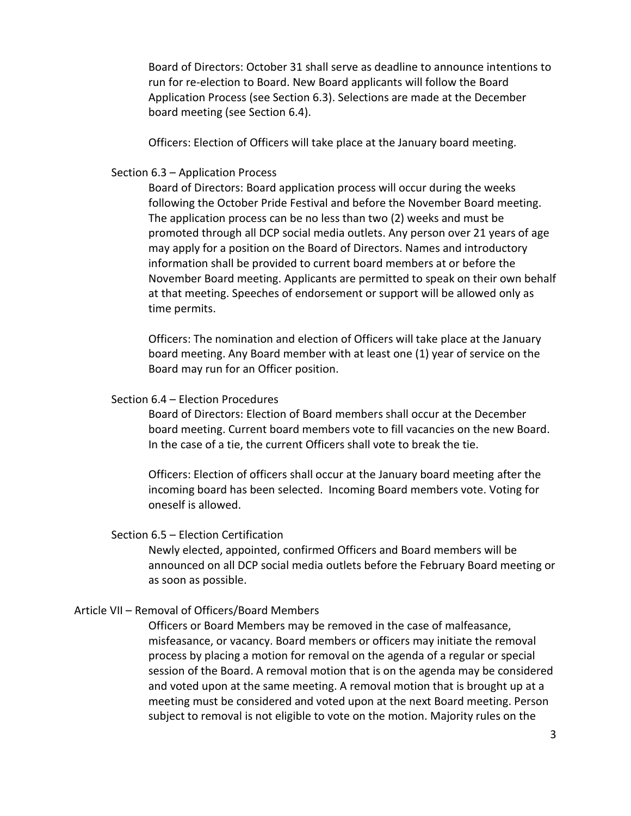Board of Directors: October 31 shall serve as deadline to announce intentions to run for re-election to Board. New Board applicants will follow the Board Application Process (see Section 6.3). Selections are made at the December board meeting (see Section 6.4).

Officers: Election of Officers will take place at the January board meeting.

#### Section 6.3 – Application Process

Board of Directors: Board application process will occur during the weeks following the October Pride Festival and before the November Board meeting. The application process can be no less than two (2) weeks and must be promoted through all DCP social media outlets. Any person over 21 years of age may apply for a position on the Board of Directors. Names and introductory information shall be provided to current board members at or before the November Board meeting. Applicants are permitted to speak on their own behalf at that meeting. Speeches of endorsement or support will be allowed only as time permits.

Officers: The nomination and election of Officers will take place at the January board meeting. Any Board member with at least one (1) year of service on the Board may run for an Officer position.

#### Section 6.4 – Election Procedures

Board of Directors: Election of Board members shall occur at the December board meeting. Current board members vote to fill vacancies on the new Board. In the case of a tie, the current Officers shall vote to break the tie.

Officers: Election of officers shall occur at the January board meeting after the incoming board has been selected. Incoming Board members vote. Voting for oneself is allowed.

#### Section 6.5 – Election Certification

Newly elected, appointed, confirmed Officers and Board members will be announced on all DCP social media outlets before the February Board meeting or as soon as possible.

## Article VII – Removal of Officers/Board Members

Officers or Board Members may be removed in the case of malfeasance, misfeasance, or vacancy. Board members or officers may initiate the removal process by placing a motion for removal on the agenda of a regular or special session of the Board. A removal motion that is on the agenda may be considered and voted upon at the same meeting. A removal motion that is brought up at a meeting must be considered and voted upon at the next Board meeting. Person subject to removal is not eligible to vote on the motion. Majority rules on the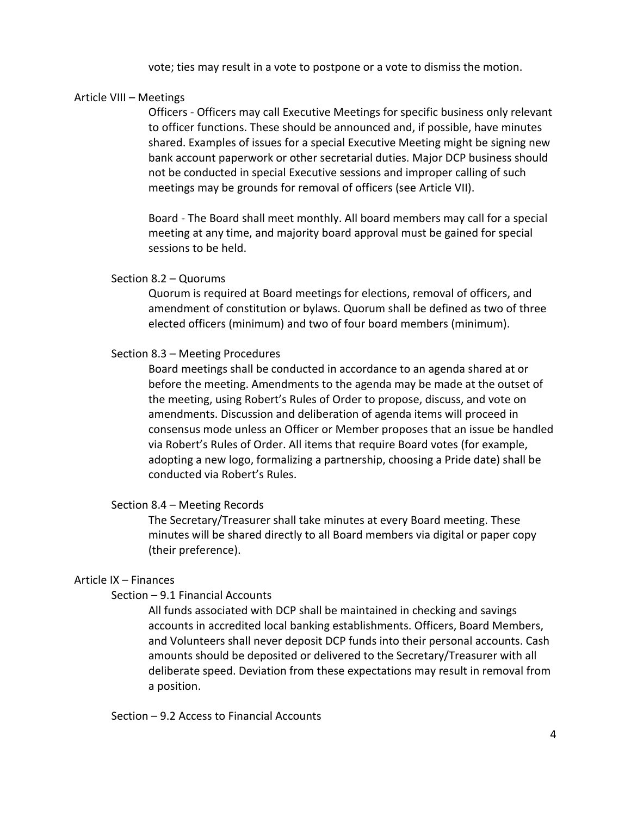vote; ties may result in a vote to postpone or a vote to dismiss the motion.

## Article VIII – Meetings

Officers - Officers may call Executive Meetings for specific business only relevant to officer functions. These should be announced and, if possible, have minutes shared. Examples of issues for a special Executive Meeting might be signing new bank account paperwork or other secretarial duties. Major DCP business should not be conducted in special Executive sessions and improper calling of such meetings may be grounds for removal of officers (see Article VII).

Board - The Board shall meet monthly. All board members may call for a special meeting at any time, and majority board approval must be gained for special sessions to be held.

#### Section 8.2 – Quorums

Quorum is required at Board meetings for elections, removal of officers, and amendment of constitution or bylaws. Quorum shall be defined as two of three elected officers (minimum) and two of four board members (minimum).

#### Section 8.3 – Meeting Procedures

Board meetings shall be conducted in accordance to an agenda shared at or before the meeting. Amendments to the agenda may be made at the outset of the meeting, using Robert's Rules of Order to propose, discuss, and vote on amendments. Discussion and deliberation of agenda items will proceed in consensus mode unless an Officer or Member proposes that an issue be handled via Robert's Rules of Order. All items that require Board votes (for example, adopting a new logo, formalizing a partnership, choosing a Pride date) shall be conducted via Robert's Rules.

#### Section 8.4 – Meeting Records

The Secretary/Treasurer shall take minutes at every Board meeting. These minutes will be shared directly to all Board members via digital or paper copy (their preference).

#### Article IX – Finances

#### Section – 9.1 Financial Accounts

All funds associated with DCP shall be maintained in checking and savings accounts in accredited local banking establishments. Officers, Board Members, and Volunteers shall never deposit DCP funds into their personal accounts. Cash amounts should be deposited or delivered to the Secretary/Treasurer with all deliberate speed. Deviation from these expectations may result in removal from a position.

Section – 9.2 Access to Financial Accounts